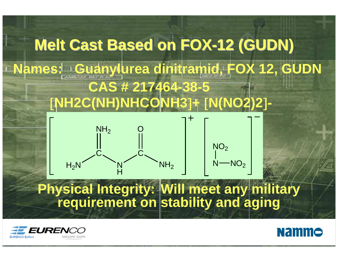



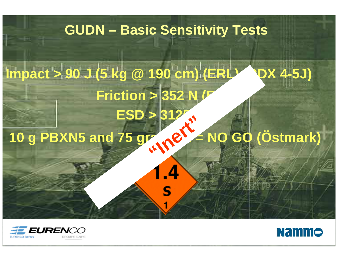#### **GUDN – Basic Sensitivity Tests**

## **Impact > 90 J (5 kg @ 190 cm) (ERL) (RDX 4-5J) Friction > 352 N ESD > 312 10 g PBXN5 and 75 gram PE = NO GO (Östmark) "Inert"**

.4



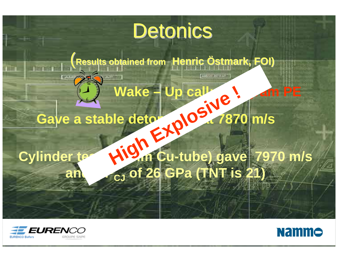# Detonics

(**Results obtained from Results obtained from HenricÖstmark, FOI) stmark, FOI)**

#### **Wake – Up call: 200 gm PE** Gave a stable detonation at 7870 m/s Wake - Up call<br>Die determine 187<br>High Cu-tube) gav

#### Cylinder test **(60 mm Cu-tube) gave** 7970 m/s and **CJ** of 26 GPa (TNT is 21)

AND TAT BETICAL



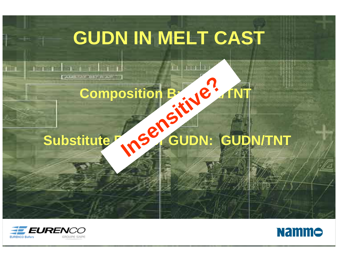# **GUDN IN MELT CAST**

# Composition B: RDX/TNT **Insensitive?**

#### Substitute **RDAY GUDN: GUDN/TNT**

**CARAC** 

**ASS BESTURE AURIT** 



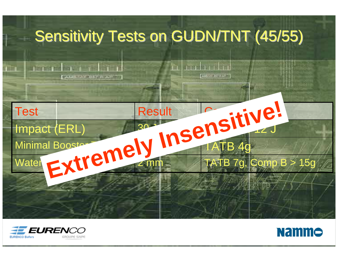#### Sensitivity Tests on GUDN/TNT (45/55)





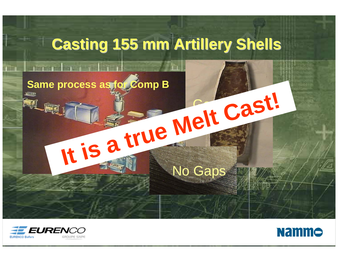



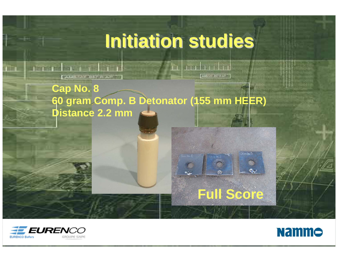#### **Initiation studies Initiation studies**

 $-1.1 + 1.1 + 1.1$ 

AMERICATION

**Cap No. 8 60 gram Comp. B Detonator (155 mm HEER) Distance 2.2 mm**





**Full Score**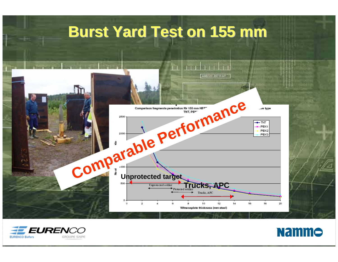#### **Burst Yard Test on 155 mm Burst Yard Test on 155 mm**





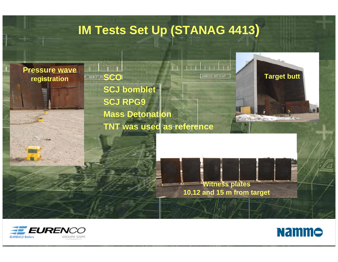#### **IM Tests Set Up (STANAG 4413 )**

**Pressure wave registration SCO**

AM TAT BETICARD **SCJ bomblet SCJ RPG9 Mass Detonation TNT was used as reference**

**Target butt** a villa de **Second Street** 

**Witness plates 10,12 and 15 m from target**



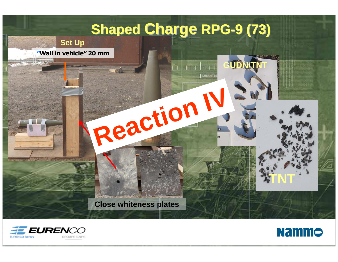#### **Shaped Charge RPG-9 (73)**

**GUDN/T** 

AM TAT B



**"Wall in vehicle" 20 mm**



**Reaction IV**





**TNT**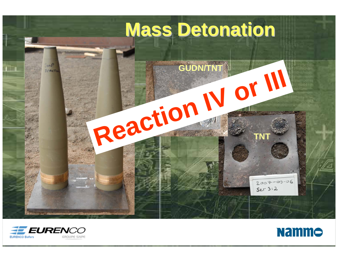## **Mass Detonation Mass Detonation**





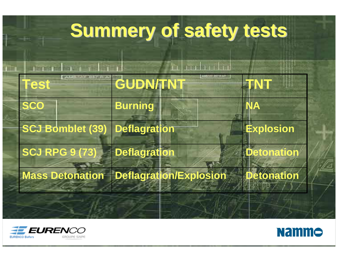# **Summery of safety tests Summery of safety tests**





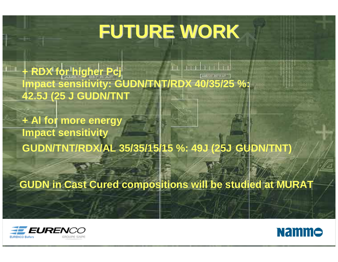# **FUTURE WORK FUTURE WORK**

**+ RDX for higher Pcj Impact sensitivity: GUDN/TNT/RDX 40/35/25 %: 42.5J (25 J GUDN/TNT**

**+ Al for more energy Impact sensitivity GUDN/TNT/RDX/AL 35/35/15/15 %: 49J (25J GUDN/TNT)**

**GUDN in Cast Cured compositions will be studied at MURAT**



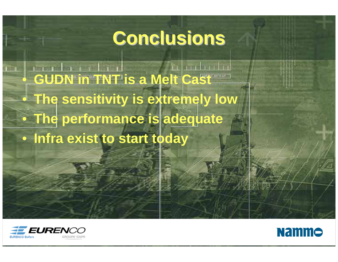#### **Conclusions Conclusions**

• **GUDN in TNT is a Melt Cast** • **The sensitivity is extremely low • The performance is adequate** • **Infra exist to start today**